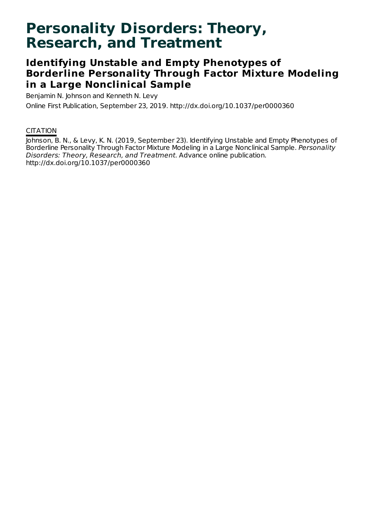# **Personality Disorders: Theory, Research, and Treatment**

## **Identifying Unstable and Empty Phenotypes of Borderline Personality Through Factor Mixture Modeling in a Large Nonclinical Sample**

Benjamin N. Johnson and Kenneth N. Levy Online First Publication, September 23, 2019. http://dx.doi.org/10.1037/per0000360

### **CITATION**

Johnson, B. N., & Levy, K. N. (2019, September 23). Identifying Unstable and Empty Phenotypes of Borderline Personality Through Factor Mixture Modeling in a Large Nonclinical Sample. Personality Disorders: Theory, Research, and Treatment. Advance online publication. http://dx.doi.org/10.1037/per0000360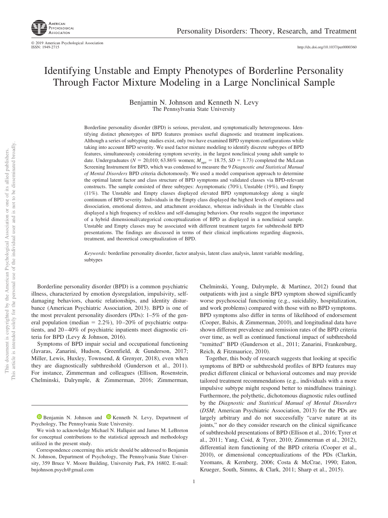http://dx.doi.org[/10.1037/per0000360](http://dx.doi.org/10.1037/per0000360)

### Identifying Unstable and Empty Phenotypes of Borderline Personality Through Factor Mixture Modeling in a Large Nonclinical Sample

Benjamin N. Johnson and Kenneth N. Levy The Pennsylvania State University

Borderline personality disorder (BPD) is serious, prevalent, and symptomatically heterogeneous. Identifying distinct phenotypes of BPD features promises useful diagnostic and treatment implications. Although a series of subtyping studies exist, only two have examined BPD symptom configurations while taking into account BPD severity. We used factor mixture modeling to identify discrete subtypes of BPD features, simultaneously considering symptom severity, in the largest nonclinical young adult sample to date. Undergraduates ( $N = 20,010$ ; 63.86% women;  $M_{\text{age}} = 18.75$ ,  $SD = 1.73$ ) completed the McLean Screening Instrument for BPD, which was condensed to measure the 9 *Diagnostic and Statistical Manual of Mental Disorders* BPD criteria dichotomously. We used a model comparison approach to determine the optimal latent factor and class structure of BPD symptoms and validated classes via BPD-relevant constructs. The sample consisted of three subtypes: Asymptomatic (70%), Unstable (19%), and Empty (11%). The Unstable and Empty classes displayed elevated BPD symptomatology along a single continuum of BPD severity. Individuals in the Empty class displayed the highest levels of emptiness and dissociation, emotional distress, and attachment avoidance, whereas individuals in the Unstable class displayed a high frequency of reckless and self-damaging behaviors. Our results suggest the importance of a hybrid dimensional/categorical conceptualization of BPD as displayed in a nonclinical sample. Unstable and Empty classes may be associated with different treatment targets for subthreshold BPD presentations. The findings are discussed in terms of their clinical implications regarding diagnosis, treatment, and theoretical conceptualization of BPD.

*Keywords:* borderline personality disorder, factor analysis, latent class analysis, latent variable modeling, subtypes

Borderline personality disorder (BPD) is a common psychiatric illness, characterized by emotion dysregulation, impulsivity, selfdamaging behaviors, chaotic relationships, and identity disturbance (American Psychiatric Association, 2013). BPD is one of the most prevalent personality disorders (PDs): 1–5% of the general population (median  $= 2.2\%$ ), 10–20% of psychiatric outpatients, and 20–40% of psychiatric inpatients meet diagnostic criteria for BPD (Levy & Johnson, 2016).

Symptoms of BPD impair social and occupational functioning (Javaras, Zanarini, Hudson, Greenfield, & Gunderson, 2017; Miller, Lewis, Huxley, Townsend, & Grenyer, 2018), even when they are diagnostically subthreshold (Gunderson et al., 2011). For instance, Zimmerman and colleagues (Ellison, Rosenstein, Chelminski, Dalrymple, & Zimmerman, 2016; Zimmerman, Chelminski, Young, Dalrymple, & Martinez, 2012) found that outpatients with just a single BPD symptom showed significantly worse psychosocial functioning (e.g., suicidality, hospitalization, and work problems) compared with those with no BPD symptoms. BPD symptoms also differ in terms of likelihood of endorsement (Cooper, Balsis, & Zimmerman, 2010), and longitudinal data have shown different prevalence and remission rates of the BPD criteria over time, as well as continued functional impact of subthreshold "remitted" BPD (Gunderson et al., 2011; Zanarini, Frankenburg, Reich, & Fitzmaurice, 2010).

Together, this body of research suggests that looking at specific symptoms of BPD or subthreshold profiles of BPD features may predict different clinical or behavioral outcomes and may provide tailored treatment recommendations (e.g., individuals with a more impulsive subtype might respond better to mindfulness training). Furthermore, the polythetic, dichotomous diagnostic rules outlined by the *Diagnostic and Statistical Manual of Mental Disorders* (*DSM*; American Psychiatric Association, 2013) for the PDs are largely arbitrary and do not successfully "carve nature at its joints," nor do they consider research on the clinical significance of subthreshold presentations of BPD (Ellison et al., 2016; Tyrer et al., 2011; Yang, Coid, & Tyrer, 2010; Zimmerman et al., 2012), differential item functioning of the BPD criteria (Cooper et al., 2010), or dimensional conceptualizations of the PDs (Clarkin, Yeomans, & Kernberg, 2006; Costa & McCrae, 1990; Eaton, Krueger, South, Simms, & Clark, 2011; Sharp et al., 2015).

**D** [Benjamin N. Johnson](https://orcid.org/0000-0002-3050-7043) and **D** [Kenneth N. Levy,](https://orcid.org/0000-0002-4670-4631) Department of Psychology, The Pennsylvania State University.

We wish to acknowledge Michael N. Hallquist and James M. LeBreton for conceptual contributions to the statistical approach and methodology utilized in the present study.

Correspondence concerning this article should be addressed to Benjamin N. Johnson, Department of Psychology, The Pennsylvania State University, 359 Bruce V. Moore Building, University Park, PA 16802. E-mail: [bnjohnson.psych@gmail.com](mailto:bnjohnson.psych@gmail.com)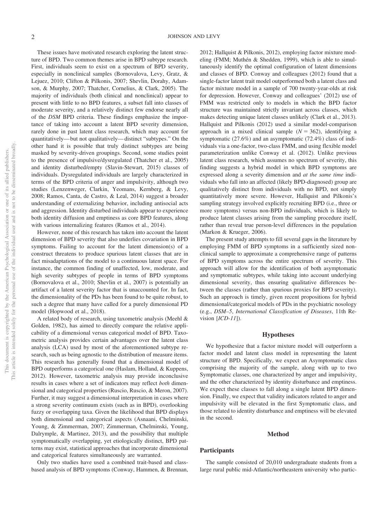These issues have motivated research exploring the latent structure of BPD. Two common themes arise in BPD subtype research. First, individuals seem to exist on a spectrum of BPD severity, especially in nonclinical samples (Bornovalova, Levy, Gratz, & Lejuez, 2010; Clifton & Pilkonis, 2007; Shevlin, Dorahy, Adamson, & Murphy, 2007; Thatcher, Cornelius, & Clark, 2005). The majority of individuals (both clinical and nonclinical) appear to present with little to no BPD features, a subset fall into classes of moderate severity, and a relatively distinct few endorse nearly all of the *DSM* BPD criteria. These findings emphasize the importance of taking into account a latent BPD severity dimension, rarely done in past latent class research, which may account for quantitatively— but not qualitatively— distinct "subtypes." On the other hand it is possible that truly distinct subtypes are being masked by severity-driven groupings. Second, some studies point to the presence of impulsive/dysregulated (Thatcher et al., 2005) and identity disturbed/empty (Slavin-Stewart, 2015) classes of individuals. Dysregulated individuals are largely characterized in terms of the BPD criteria of anger and impulsivity, although two studies (Lenzenweger, Clarkin, Yeomans, Kernberg, & Levy, 2008; Ramos, Canta, de Castro, & Leal, 2014) suggest a broader understanding of externalizing behavior, including antisocial acts and aggression. Identity disturbed individuals appear to experience both identity diffusion and emptiness as core BPD features, along with various internalizing features (Ramos et al., 2014).

However, none of this research has taken into account the latent dimension of BPD severity that also underlies covariation in BPD symptoms. Failing to account for the latent dimension(s) of a construct threatens to produce spurious latent classes that are in fact misadaptations of the model to a continuous latent space. For instance, the common finding of unaffected, low, moderate, and high severity subtypes of people in terms of BPD symptoms (Bornovalova et al., 2010; Shevlin et al., 2007) is potentially an artifact of a latent severity factor that is unaccounted for. In fact, the dimensionality of the PDs has been found to be quite robust, to such a degree that many have called for a purely dimensional PD model (Hopwood et al., 2018).

A related body of research, using taxometric analysis (Meehl & Golden, 1982), has aimed to directly compare the relative applicability of a dimensional versus categorical model of BPD. Taxometric analysis provides certain advantages over the latent class analysis (LCA) used by most of the aforementioned subtype research, such as being agnostic to the distribution of measure items. This research has generally found that a dimensional model of BPD outperforms a categorical one (Haslam, Holland, & Kuppens, 2012). However, taxometric analysis may provide inconclusive results in cases where a set of indicators may reflect *both* dimensional and categorical properties (Ruscio, Ruscio, & Meron, 2007). Further, it may suggest a dimensional interpretation in cases where a strong severity continuum exists (such as in BPD), overlooking fuzzy or overlapping taxa. Given the likelihood that BPD displays both dimensional and categorical aspects (Asnaani, Chelminski, Young, & Zimmerman, 2007; [Zimmerman, Chelminski, Young,](#page-10-0) [Dalrymple, & Martinez, 2013\)](#page-10-0), and the possibility that multiple symptomatically overlapping, yet etiologically distinct, BPD patterns may exist, statistical approaches that incorporate dimensional and categorical features simultaneously are warranted.

Only two studies have used a combined trait-based and classbased analysis of BPD symptoms (Conway, Hammen, & Brennan, 2012; Hallquist & Pilkonis, 2012), employing factor mixture modeling (FMM; Muthén & Shedden, 1999), which is able to simultaneously identify the optimal configuration of latent dimensions and classes of BPD. Conway and colleagues (2012) found that a single-factor latent trait model outperformed both a latent class and factor mixture model in a sample of 700 twenty-year-olds at risk for depression. However, Conway and colleagues' (2012) use of FMM was restricted only to models in which the BPD factor structure was maintained strictly invariant across classes, which makes detecting unique latent classes unlikely [\(Clark et al., 2013\)](#page-8-0). Hallquist and Pilkonis (2012) used a similar model-comparison approach in a mixed clinical sample  $(N = 362)$ , identifying a symptomatic (27.6%) and an asymptomatic (72.4%) class of individuals via a one-factor, two-class FMM, and using flexible model parameterization unlike Conway et al. (2012). Unlike previous latent class research, which assumes no spectrum of severity, this finding suggests a hybrid model in which BPD symptoms are expressed along a severity dimension and *at the same time* individuals who fall into an affected (likely BPD-diagnosed) group are qualitatively distinct from individuals with no BPD, not simply quantitatively more severe. However, Hallquist and Pilkonis's sampling strategy involved explicitly recruiting BPD (i.e., three or more symptoms) versus non-BPD individuals, which is likely to produce latent classes arising from the sampling procedure itself, rather than reveal true person-level differences in the population (Markon & Krueger, 2006).

The present study attempts to fill several gaps in the literature by employing FMM of BPD symptoms in a sufficiently sized nonclinical sample to approximate a comprehensive range of patterns of BPD symptoms across the entire spectrum of severity. This approach will allow for the identification of both asymptomatic and symptomatic subtypes, while taking into account underlying dimensional severity, thus ensuring qualitative differences between the classes (rather than spurious proxies for BPD severity). Such an approach is timely, given recent propositions for hybrid dimensional/categorical models of PDs in the psychiatric nosology (e.g., *DSM–5*, *International Classification of Diseases*, 11th Revision [*ICD-11*]).

#### **Hypotheses**

We hypothesize that a factor mixture model will outperform a factor model and latent class model in representing the latent structure of BPD. Specifically, we expect an Asymptomatic class comprising the majority of the sample, along with up to two Symptomatic classes, one characterized by anger and impulsivity, and the other characterized by identity disturbance and emptiness. We expect these classes to fall along a single latent BPD dimension. Finally, we expect that validity indicators related to anger and impulsivity will be elevated in the first Symptomatic class, and those related to identity disturbance and emptiness will be elevated in the second.

#### **Method**

#### **Participants**

The sample consisted of 20,010 undergraduate students from a large rural public mid-Atlantic/northeastern university who partic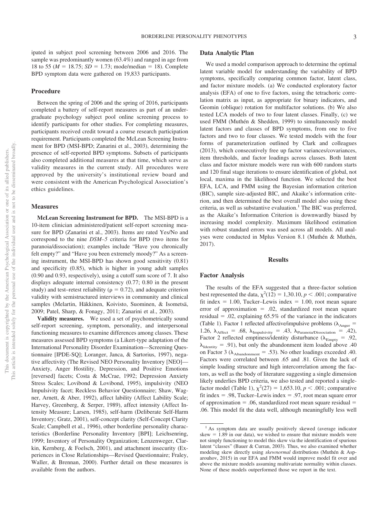ipated in subject pool screening between 2006 and 2016. The sample was predominantly women (63.4%) and ranged in age from 18 to 55 ( $M = 18.75$ ;  $SD = 1.73$ ; mode/median = 18). Complete BPD symptom data were gathered on 19,833 participants.

#### **Procedure**

Between the spring of 2006 and the spring of 2016, participants completed a battery of self-report measures as part of an undergraduate psychology subject pool online screening process to identify participants for other studies. For completing measures, participants received credit toward a course research participation requirement. Participants completed the McLean Screening Instrument for BPD (MSI-BPD; Zanarini et al., 2003), determining the presence of self-reported BPD symptoms. Subsets of participants also completed additional measures at that time, which serve as validity measures in the current study. All procedures were approved by the university's institutional review board and were consistent with the American Psychological Association's ethics guidelines.

#### **Measures**

**McLean Screening Instrument for BPD.** The MSI-BPD is a 10-item clinician administered/patient self-report screening measure for BPD (Zanarini et al., 2003). Items are rated Yes/No and correspond to the nine *DSM–5* criteria for BPD (two items for paranoia/dissociation); examples include "Have you chronically felt empty?" and "Have you been extremely moody?" As a screening instrument, the MSI-BPD has shown good sensitivity (0.81) and specificity (0.85), which is higher in young adult samples (0.90 and 0.93, respectively), using a cutoff sum score of 7. It also displays adequate internal consistency (0.77; 0.80 in the present study) and test–retest reliability ( $\rho = 0.72$ ), and adequate criterion validity with semistructured interviews in community and clinical samples (Melartin, Häkkinen, Koivisto, Suominen, & Isometsä, 2009; Patel, Sharp, & Fonagy, 2011; Zanarini et al., 2003).

**Validity measures.** We used a set of psychometrically sound self-report screening, symptom, personality, and interpersonal functioning measures to examine differences among classes. These measures assessed BPD symptoms (a Likert-type adaptation of the International Personality Disorder Examination—Screening Questionnaire [IPDE-SQ]; Loranger, Janca, & Sartorius, 1997), negative affectivity (The Revised NEO Personality Inventory [NEO]— Anxiety, Anger Hostility, Depression, and Positive Emotions [reversed] facets; Costa & McCrae, 1992; Depression Anxiety Stress Scales; Lovibond & Lovibond, 1995), impulsivity (NEO Impulsivity facet; Reckless Behavior Questionnaire; Shaw, Wagner, Arnett, & Aber, 1992), affect lability (Affect Lability Scale; Harvey, Greenberg, & Serper, 1989), affect intensity (Affect Intensity Measure; Larsen, 1985), self-harm (Deliberate Self-Harm Inventory; Gratz, 2001), self-concept clarity (Self-Concept Clarity Scale; Campbell et al., 1996), other borderline personality characteristics (Borderline Personality Inventory [BPI]; Leichsenring, 1999; Inventory of Personality Organization; Lenzenweger, Clarkin, Kernberg, & Foelsch, 2001), and attachment insecurity (Experiences in Close Relationships—Revised Questionnaire; Fraley, Waller, & Brennan, 2000). Further detail on these measures is available from the authors.

#### **Data Analytic Plan**

We used a model comparison approach to determine the optimal latent variable model for understanding the variability of BPD symptoms, specifically comparing common factor, latent class, and factor mixture models. (a) We conducted exploratory factor analysis (EFA) of one to five factors, using the tetrachoric correlation matrix as input, as appropriate for binary indicators, and Geomin (oblique) rotation for multifactor solutions. (b) We also tested LCA models of two to four latent classes. Finally, (c) we used FMM (Muthén & Shedden, 1999) to simultaneously model latent factors and classes of BPD symptoms, from one to five factors and two to four classes. We tested models with the four forms of parameterization outlined by [Clark and colleagues](#page-8-0) [\(2013\),](#page-8-0) which consecutively free up factor variances/covariances, item thresholds, and factor loadings across classes. Both latent class and factor mixture models were run with 600 random starts and 120 final stage iterations to ensure identification of global, not local, maxima in the likelihood function. We selected the best EFA, LCA, and FMM using the Bayesian information criterion (BIC), sample size-adjusted BIC, and Akaike's information criterion, and then determined the best overall model also using these criteria, as well as substantive evaluation.<sup>1</sup> The BIC was preferred, as the Akaike's Information Criterion is downwardly biased by increasing model complexity. Maximum likelihood estimation with robust standard errors was used across all models. All analyses were conducted in Mplus Version 8.1 (Muthén & Muthén, 2017).

#### **Results**

#### **Factor Analysis**

The results of the EFA suggested that a three-factor solution best represented the data,  $\chi^2(12) = 1,30.10, p < .001$ ; comparative fit index  $= 1.00$ , Tucker–Lewis index  $= 1.00$ , root mean square error of approximation  $= .02$ , standardized root mean square residual  $= .02$ , explaining 65.5% of the variance in the indicators (Table 1). Factor 1 reflected affective/impulsive problems ( $\lambda_{\text{Anger}} =$ 1.26,  $\lambda_{\text{Afterc}} = .68$ ,  $\lambda_{\text{Impulsivity}} = .43$ ,  $\lambda_{\text{Paranoia/Dissociation}} = .42$ ), Factor 2 reflected emptiness/identity disturbance ( $\lambda_{\text{Empty}} = .92$ ,  $\lambda_{Identity} = .91$ , but only the abandonment item loaded above .40 on Factor 3 ( $\lambda_{\text{Abandoment}} = .53$ ). No other loadings exceeded .40. Factors were correlated between .65 and .81. Given the lack of simple loading structure and high intercorrelation among the factors, as well as the body of literature suggesting a single dimension likely underlies BPD criteria, we also tested and reported a singlefactor model (Table 1),  $\chi^2(27) = 1,653.10, p < .001$ ; comparative fit index  $= .98$ , Tucker–Lewis index  $= .97$ , root mean square error of approximation  $= .06$ , standardized root mean square residual  $=$ .06. This model fit the data well, although meaningfully less well

<sup>&</sup>lt;sup>1</sup> As symptom data are usually positively skewed (average indicator skew  $= 1.89$  in our data), we wished to ensure that mixture models were not simply functioning to model this skew via the identification of spurious latent "classes" (Bauer & Curran, 2003). Thus, we also examined whether modeling skew directly using *skewnormal* distributions (Muthén & Asparouhov, 2015) in our EFA and FMM would improve model fit over and above the mixture models assuming multivariate normality within classes. None of these models outperformed those we report in the text.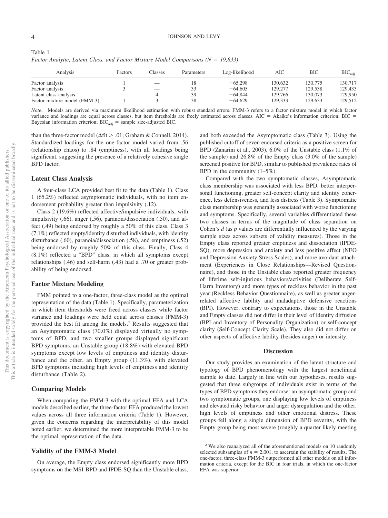| Analysis                     | Factors | Classes | Parameters | Log-likelihood | AIC     | ВIС     | $BIC_{\text{adi}}$ |  |  |  |  |
|------------------------------|---------|---------|------------|----------------|---------|---------|--------------------|--|--|--|--|
| Factor analysis              |         |         | 18         | $-65,298$      | 130.632 | 130,775 | 130,717            |  |  |  |  |
| Factor analysis              |         |         | 33         | $-64,605$      | 129,277 | 129.538 | 129,433            |  |  |  |  |
| Latent class analysis        |         |         | 39         | $-64,844$      | 129,766 | 130,073 | 129,950            |  |  |  |  |
| Factor mixture model (FMM-3) |         |         | 38         | $-64,629$      | 129.333 | 129,633 | 129,512            |  |  |  |  |

Table 1 Factor Analytic, Latent Class, and Factor Mixture Model Comparisons (N = 19,833)

*Note*. Models are derived via maximum likelihood estimation with robust standard errors. FMM-3 refers to a factor mixture model in which factor variance and loadings are equal across classes, but item thresholds are freely estimated across classes.  $AIC = Akaike's$  information criterion;  $BIC =$ Bayesian information criterion;  $BIC_{adj}$  = sample size-adjusted BIC.

than the three-factor model ( $\Delta \text{fit} > .01$ ; Graham & Connell, 2014). Standardized loadings for the one-factor model varied from .56 (relationship chaos) to .84 (emptiness), with all loadings being significant, suggesting the presence of a relatively cohesive single BPD factor.

#### **Latent Class Analysis**

A four-class LCA provided best fit to the data (Table 1). Class 1 (65.2%) reflected asymptomatic individuals, with no item endorsement probability greater than impulsivity (.12).

Class 2 (19.6%) reflected affective/impulsive individuals, with impulsivity (.66), anger (.56), paranoia/dissociation (.50), and affect (.49) being endorsed by roughly a 50% of this class. Class 3 (7.1%) reflected empty/identity disturbed individuals, with identity disturbance (.60), paranoia/dissociation (.58), and emptiness (.52) being endorsed by roughly 50% of this class. Finally, Class 4 (8.1%) reflected a "BPD" class, in which all symptoms except relationships (.46) and self-harm (.43) had a .70 or greater probability of being endorsed.

#### **Factor Mixture Modeling**

FMM pointed to a one-factor, three-class model as the optimal representation of the data (Table 1). Specifically, parameterization in which item thresholds were freed across classes while factor variance and loadings were held equal across classes (FMM-3) provided the best fit among the models.2 Results suggested that an Asymptomatic class (70.0%) displayed virtually no symptoms of BPD, and two smaller groups displayed significant BPD symptoms, an Unstable group (18.8%) with elevated BPD symptoms except low levels of emptiness and identity disturbance and the other, an Empty group (11.3%), with elevated BPD symptoms including high levels of emptiness and identity disturbance (Table 2).

#### **Comparing Models**

When comparing the FMM-3 with the optimal EFA and LCA models described earlier, the three-factor EFA produced the lowest values across all three information criteria (Table 1). However, given the concerns regarding the interpretability of this model noted earlier, we determined the more interpretable FMM-3 to be the optimal representation of the data.

#### **Validity of the FMM-3 Model**

On average, the Empty class endorsed significantly more BPD symptoms on the MSI-BPD and IPDE-SQ than the Unstable class, and both exceeded the Asymptomatic class [\(Table 3\)](#page-6-0). Using the published cutoff of seven endorsed criteria as a positive screen for BPD (Zanarini et al., 2003), 6.0% of the Unstable class (1.1% of the sample) and 26.8% of the Empty class (3.0% of the sample) screened positive for BPD, similar to published prevalence rates of BPD in the community (1–5%).

Compared with the two symptomatic classes, Asymptomatic class membership was associated with less BPD, better interpersonal functioning, greater self-concept clarity and identity coherence, less defensiveness, and less distress [\(Table 3\)](#page-6-0). Symptomatic class membership was generally associated with worse functioning and symptoms. Specifically, several variables differentiated these two classes in terms of the magnitude of class separation on Cohen's *d* (as *p* values are differentially influenced by the varying sample sizes across subsets of validity measures). Those in the Empty class reported greater emptiness and dissociation (IPDE-SQ), more depression and anxiety and less positive affect (NEO and Depression Anxiety Stress Scales), and more avoidant attachment (Experiences in Close Relationships—Revised Questionnaire), and those in the Unstable class reported greater frequency of lifetime self-injurious behaviors/activities (Deliberate Self-Harm Inventory) and more types of reckless behavior in the past year (Reckless Behavior Questionnaire), as well as greater angerrelated affective lability and maladaptive defensive reactions (BPI). However, contrary to expectations, those in the Unstable and Empty classes did not differ in their level of identity diffusion (BPI and Inventory of Personality Organization) or self-concept clarity (Self-Concept Clarity Scale). They also did not differ on other aspects of affective lability (besides anger) or intensity.

#### **Discussion**

Our study provides an examination of the latent structure and typology of BPD phenomenology with the largest nonclinical sample to date. Largely in line with our hypotheses, results suggested that three subgroups of individuals exist in terms of the types of BPD symptoms they endorse: an asymptomatic group and two symptomatic groups, one displaying low levels of emptiness and elevated risky behavior and anger dysregulation and the other, high levels of emptiness and other emotional distress. These groups fell along a single dimension of BPD severity, with the Empty group being most severe (roughly a quarter likely meeting

<sup>&</sup>lt;sup>2</sup> We also reanalyzed all of the aforementioned models on 10 randomly selected subsamples of  $n = 2,001$ , to ascertain the stability of results. The one-factor, three-class FMM-3 outperformed all other models on all information criteria, except for the BIC in four trials, in which the one-factor EFA was superior.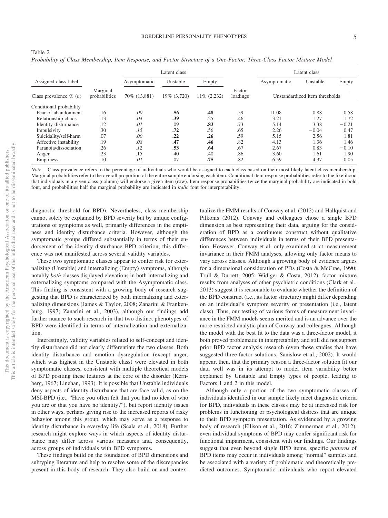|                                    |                           |              | Latent class |             |                    | Latent class                   |          |         |  |  |
|------------------------------------|---------------------------|--------------|--------------|-------------|--------------------|--------------------------------|----------|---------|--|--|
| Assigned class label               |                           | Asymptomatic | Unstable     | Empty       |                    | Asymptomatic                   | Unstable | Empty   |  |  |
| Class prevalence $\%$ ( <i>n</i> ) | Marginal<br>probabilities | 70% (13,881) | 19% (3,720)  | 11% (2,232) | Factor<br>loadings | Unstandardized item thresholds |          |         |  |  |
| Conditional probability            |                           |              |              |             |                    |                                |          |         |  |  |
| Fear of abandonment                | .16                       | .00          | .56          | .48         | .59                | 11.08                          | 0.88     | 0.58    |  |  |
| Relationship chaos                 | .13                       | .04          | .39          | .25         | .46                | 3.21                           | 1.27     | 1.72    |  |  |
| Identity disturbance               | .12                       | .01          | .09          | .83         | .73                | 5.14                           | 3.38     | $-0.21$ |  |  |
| Impulsivity                        | .30                       | .15          | .72          | .56         | .65                | 2.26                           | $-0.04$  | 0.47    |  |  |
| Suicidality/self-harm              | .07                       | .00          | .22          | .26         | .59                | 5.15                           | 2.56     | 1.81    |  |  |
| Affective instability              | .19                       | .08          | .47          | .46         | .82                | 4.13                           | 1.36     | 1.46    |  |  |
| Paranoia/dissociation              | .26                       | .12          | .53          | .64         | .67                | 2.67                           | 0.83     | $-0.10$ |  |  |
| Anger                              | .23                       | .15          | .40          | .40         | .86                | 3.60                           | 1.61     | 1.90    |  |  |
| Emptiness                          | .10                       | .01          | .07          | .75         | .82                | 6.59                           | 4.37     | 0.05    |  |  |

*Probability of Class Membership, Item Response, and Factor Structure of a One-Factor, Three-Class Factor Mixture Model*

*Note*. Class prevalence refers to the percentage of individuals who would be assigned to each class based on their most likely latent class membership. Marginal probabilities refer to the overall proportion of the entire sample endorsing each item. Conditional item response probabilities refer to the likelihood that individuals in a given class (column) will endorse a given item (row). Item response probabilities twice the marginal probability are indicated in bold font, and probabilities half the marginal probability are indicated in *italic* font for interpretability.

diagnostic threshold for BPD). Nevertheless, class membership cannot solely be explained by BPD severity but by unique configurations of symptoms as well, primarily differences in the emptiness and identity disturbance criteria. However, although the symptomatic groups differed substantially in terms of their endorsement of the identity disturbance BPD criterion, this difference was not manifested across several validity variables.

These two symptomatic classes appear to confer risk for externalizing (Unstable) and internalizing (Empty) symptoms, although notably *both* classes displayed elevations in both internalizing and externalizing symptoms compared with the Asymptomatic class. This finding is consistent with a growing body of research suggesting that BPD is characterized by both internalizing and externalizing dimensions (James & Taylor, 2008; Zanarini & Frankenburg, 1997; Zanarini et al., 2003), although our findings add further nuance to such research in that two distinct phenotypes of BPD were identified in terms of internalization and externalization.

Interestingly, validity variables related to self-concept and identity disturbance did not clearly differentiate the two classes. Both identity disturbance and emotion dysregulation (except anger, which was highest in the Unstable class) were elevated in both symptomatic classes, consistent with multiple theoretical models of BPD positing these features at the core of the disorder (Kernberg, 1967; Linehan, 1993). It is possible that Unstable individuals deny aspects of identity disturbance that are face valid, as on the MSI-BPD (i.e., "Have you often felt that you had no idea of who you are or that you have no identity?"), but report identity issues in other ways, perhaps giving rise to the increased reports of risky behavior among this group, which may serve as a response to identity disturbance in everyday life (Scala et al., 2018). Further research might explore ways in which aspects of identity disturbance may differ across various measures and, consequently, across groups of individuals with BPD symptoms.

These findings build on the foundation of BPD dimensions and subtyping literature and help to resolve some of the discrepancies present in this body of research. They also build on and contextualize the FMM results of Conway et al. (2012) and Hallquist and Pilkonis (2012). Conway and colleagues chose a single BPD dimension as best representing their data, arguing for the consideration of BPD as a continuous construct without qualitative differences between individuals in terms of their BPD presentation. However, Conway et al. only examined strict measurement invariance in their FMM analyses, allowing only factor means to vary across classes. Although a growing body of evidence argues for a dimensional consideration of PDs (Costa & McCrae, 1990; Trull & Durrett, 2005; Widiger & Costa, 2012), factor mixture results from analyses of other psychiatric conditions [\(Clark et al.,](#page-8-0) [2013\)](#page-8-0) suggest it is reasonable to evaluate whether the definition of the BPD construct (i.e., its factor structure) might differ depending on an individual's symptom severity or presentation (i.e., latent class). Thus, our testing of various forms of measurement invariance in the FMM models seems merited and is an advance over the more restricted analytic plan of Conway and colleagues. Although the model with the best fit to the data was a three-factor model, it both proved problematic in interpretability and still did not support prior BPD factor analysis research (even those studies that have suggested three-factor solutions; Sanislow et al., 2002). It would appear, then, that the primary reason a three-factor solution fit our data well was in its attempt to model item variability better explained by Unstable and Empty types of people, leading to Factors 1 and 2 in this model.

Although only a portion of the two symptomatic classes of individuals identified in our sample likely meet diagnostic criteria for BPD, individuals in these classes may be at increased risk for problems in functioning or psychological distress that are unique to their BPD symptom presentation. As evidenced by a growing body of research (Ellison et al., 2016; Zimmerman et al., 2012), even individual symptoms of BPD may confer significant risk for functional impairment, consistent with our findings. Our findings suggest that even beyond single BPD items, specific *patterns* of BPD items may occur in individuals among "normal" samples and be associated with a variety of problematic and theoretically predicted outcomes. Symptomatic individuals who report elevated

Table 2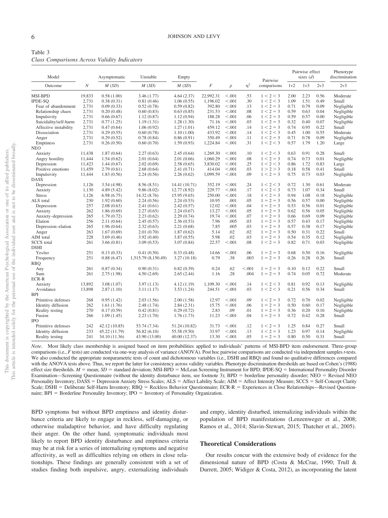<span id="page-6-0"></span>

| Table 3 |                                              |  |  |
|---------|----------------------------------------------|--|--|
|         | Class Comparisons Across Validity Indicators |  |  |

| Model                 |                  | Asymptomatic  | Unstable            | Empty         |              |                |            | Pairwise    |      | Pairwise effect<br>sizes $(d)$ |              | Phenotype<br>discrimination |
|-----------------------|------------------|---------------|---------------------|---------------|--------------|----------------|------------|-------------|------|--------------------------------|--------------|-----------------------------|
| Outcome               | $\boldsymbol{N}$ | M(SD)         | M(SD)               | M(SD)         | $\cal F$     | $\overline{p}$ | $\eta^2$   | comparisons | 1v2  | 1v3                            | 2v3          | 2v3                         |
| MSI-BPD               | 19,833           | 0.58(1.00)    | 3.46(1.77)          | 4.64(2.37)    | 22,992.31    | < 0.001        | .53        | 1 < 2 < 3   | 2.00 | 2.23                           | 0.56         | Moderate                    |
| <b>IPDE-SO</b>        | 2,731            | 0.38(0.31)    | 0.81(0.46)          | 1.06(0.55)    | 1,196.02     | < 0.001        | .30        | 1 < 2 < 3   | 1.09 | 1.51                           | 0.49         | Small                       |
| Fear of abandonment   | 2,731            | 0.09(0.33)    | 0.52(0.78)          | 0.59(0.82)    | 392.80       | < 0.001        | .13        | $1 < 2 = 3$ | 0.71 | 0.79                           | 0.09         | Negligible                  |
| Relationship chaos    | 2,731            | 0.20(0.48)    | 0.60(0.83)          | 0.63(0.85)    | 231.53       | < 0.001        | .08        | $1 < 2 = 3$ | 0.59 | 0.63                           | 0.04         | Negligible                  |
| Impulsivity           | 2.731            | 0.66(0.67)    | 1.12(0.87)          | 1.12(0.94)    | 188.28       | < 0.001        | .06        | $1 < 2 = 3$ | 0.59 | 0.57                           | 0.00         | Negligible                  |
| Suicidality/self-harm | 2,731            | 0.77(1.25)    | 1.19(1.31)          | 1.28(1.30)    | 71.16        | < 0.001        | .03        | $1 < 2 = 3$ | 0.32 | 0.40                           | 0.07         | Negligible                  |
| Affective instability | 2,731            | 0.47(0.64)    | 1.06(0.92)          | 1.27(1.01)    | 459.12       | < 0.001        | .14        | $1 < 2 = 3$ | 0.74 | 0.95                           | 0.22         | Small                       |
| Dissociation          | 2,731            | 0.29(0.55)    | 0.60(0.78)          | 1.10(1.00)    | 433.92       | < 0.001        | .14        | 1 < 2 < 3   | 0.45 | 1.00                           | 0.55         | Moderate                    |
| Anger                 | 2,731            | 0.29(0.52)    | 0.78(0.84)          | 0.86(0.91)    | 350.49       | < 0.001        | .11        | $1 < 2 = 3$ | 0.71 | 0.78                           | 0.09         | Negligible                  |
| Emptiness             | 2,731            | 0.26(0.50)    | 0.60(0.70)          | 1.59(0.93)    | 1,224.84     | < 0.001        | .31        | 1 < 2 < 3   | 0.57 | 1.79                           | 1.20         | Large                       |
| <b>NEO</b>            |                  |               |                     |               |              |                |            |             |      |                                |              |                             |
| Anxiety               | 11.438           | 1.87(0.64)    | 2.27(0.63)          | 2.45(0.64)    | 1.269.30     | < 0.001        | .10        | 1 < 2 < 3   | 0.63 | 0.91                           | 0.28         | Small                       |
| Angry hostility       | 11,444           | 1.54(0.62)    | 2.01(0.64)          | 2.01(0.66)    | 1,060.29     | < 0.001        | .08        | $1 < 2 = 3$ | 0.74 | 0.73                           | 0.01         | Negligible                  |
| Depression            | 11,423           | 1.44(0.67)    | 2.02(0.69)          | 2.58(0.65)    | 3.830.02     | < 0.001        | .25        | 1 < 2 < 3   | 0.86 | 1.72                           | 0.83         | Large                       |
| Positive emotions     | 11,459           | 2.79(0.61)    | 2.68(0.64)          | 2.41(0.71)    | 414.04       | < 0.001        | .03        | 1 > 2 > 3   | 0.18 | 0.58                           | 0.41         | Small                       |
| Impulsivity           | 11,444           | 1.83(0.56)    | 2.24(0.56)          | 2.26(0.62)    | 1,099.59     | < 0.001        | .09        | $1 < 2 = 3$ | 0.75 | 0.73                           | 0.03         | Negligible                  |
| <b>DASS</b>           |                  |               |                     |               |              |                |            |             |      |                                |              |                             |
| Depression            | 1.126            | 3.54(4.98)    | 8.56 (8.51)         | 14.41 (10.71) | 352.19       | < 0.001        | .24        | 1 < 2 < 3   | 0.72 | 1.30                           | 0.61         | Moderate                    |
| Anxiety               | 1,130            | 4.89 (5.42)   | 9.86(8.02)          | 12.77 (8.92)  | 229.77       | < 0.001        | .17        | 1 < 2 < 3   | 0.73 | 1.07                           | 0.34         | Small                       |
| <b>Stress</b>         | 1,126            | 6.98(6.75)    | 14.32 (8.76)        | 15.95 (9.65)  | 250.00       | < 0.001        | .18        | $1 < 2 = 3$ | 0.94 | 1.08                           | 0.18         | Negligible                  |
| ALS total             | 230              | 1.92(0.60)    | 2.24(0.56)          | 2.24(0.53)    | 10.95        | .001           | .05        | $1 = 2 = 3$ | 0.56 | 0.57                           | 0.00         | Negligible                  |
| Depression            | 257              | 2.08(0.63)    | 2.41(0.61)          | 2.42(0.57)    | 12.02        | < 0.001        | .04        | $1 = 2 = 3$ | 0.53 | 0.56                           | 0.01         | Negligible                  |
| Anxiety               | 262              | 1.86(0.69)    | 2.27(0.65)          | 2.24(0.67)    | 13.27        | < 0.001        | .05        | $1 = 2 = 3$ | 0.62 | 0.56                           | 0.05         | Negligible                  |
| Anxiety-depression    | 265              | 1.79(0.72)    | 2.23(0.62)          | 2.29(0.74)    | 19.74        | < 0.001        | .07        | $1 = 2 = 3$ | 0.66 | 0.69                           | 0.09         | Negligible                  |
| Elation               | 256              | 2.11(0.64)    | 2.45(0.57)          | 2.36(0.53)    | 7.96         | .005           | .03        | $1 = 2 = 3$ | 0.57 | 0.43                           | 0.17         | Negligible                  |
|                       |                  |               |                     |               |              | .005           |            |             |      |                                |              |                             |
| Depression-elation    | 265<br>263       | 1.96(0.64)    | 2.32(0.63)          | 2.21(0.68)    | 7.85<br>5.14 | .02            | .03<br>.02 | $1 = 2 = 3$ | 0.57 | 0.38<br>0.31                   | 0.17<br>0.22 | Negligible                  |
| Anger                 |                  | 1.67(0.69)    | 2.01(0.70)          | 1.87(0.62)    |              | .02            |            | $1 = 2 = 3$ | 0.50 |                                | 0.12         | Small                       |
| AIM total             | 228              | 3.69(0.46)    | 3.92(0.40)          | 3.87(0.55)    | 5.98         |                | .03        | $1 = 2 = 3$ | 0.54 | 0.35                           |              | Negligible                  |
| <b>SCCS</b> total     | 261              | 3.66(0.81)    | 3.09(0.53)          | 3.07(0.84)    | 22.57        | < 0.001        | .08        | $1 < 2 = 3$ | 0.82 | 0.71                           | 0.03         | Negligible                  |
| <b>DSHI</b>           |                  |               |                     |               |              |                |            |             |      |                                |              |                             |
| Yes/no                | 251              | 0.13(0.33)    | 0.41(0.50)          | 0.33(0.48)    | 14.66        | < 0.001        | .06        | $1 = 2 = 3$ | 0.68 | 0.50                           | 0.16         | Negligible                  |
| Frequency             | 251              | 0.88(6.47)    | 1,515.79 (8,150.49) | 3.27(10.18)   | 0.79         | .38            | .003       | $1 = 2 = 3$ | 0.26 | 0.28                           | 0.26         | Small                       |
| <b>RBO</b>            |                  |               |                     |               |              |                |            |             |      |                                |              |                             |
| Any                   | 261              | 0.87(0.34)    | 0.90(0.31)          | 0.82(0.39)    | 0.24         | .62            | < 0.001    | $1 = 2 = 3$ | 0.10 | 0.12                           | 0.22         | Small                       |
| Sum                   | 261              | 2.75(1.98)    | 4.50(2.69)          | 2.65(2.44)    | 1.16         | .28            | .004       | $1 = 2 = 3$ | 0.74 | 0.05                           | 0.72         | Moderate                    |
| ECR-R                 |                  |               |                     |               |              |                |            |             |      |                                |              |                             |
| Anxiety               | 13,892           | 3.08(1.07)    | 3.97(1.13)          | 4.12(1.19)    | 1,109.30     | < 0.001        | .14        | 1 < 2 < 3   | 0.81 | 0.92                           | 0.13         | Negligible                  |
| Avoidance             | 13,898           | 2.87(1.10)    | 3.11(1.17)          | 3.53(1.24)    | 244.51       | < 0.001        | .03        | 1 < 2 < 3   | 0.21 | 0.56                           | 0.34         | Small                       |
| <b>BPI</b>            |                  |               |                     |               |              |                |            |             |      |                                |              |                             |
| Primitive defenses    | 268              | 0.95(1.42)    | 2.03(1.56)          | 2.00(1.58)    | 12.97        | < 0.001        | .09        | $1 < 2 = 3$ | 0.72 | 0.70                           | 0.02         | Negligible                  |
| Identity diffusion    | 262              | 1.61(1.76)    | 2.48(1.74)          | 2.84(2.31)    | 15.75        | < 0.001        | .06        | $1 = 2 = 3$ | 0.50 | 0.60                           | 0.17         | Negligible                  |
| Reality testing       | 270              | 0.17(0.59)    | 0.42(0.81)          | 0.29(0.72)    | 2.83         | .09            | .01        | $1 = 2 = 3$ | 0.36 | 0.20                           | 0.16         | Negligible                  |
| Fusion                | 266              | 1.09(1.45)    | 2.23(1.70)          | 1.76(1.73)    | 11.23        | < 0.001        | .04        | $1 = 2 = 3$ | 0.72 | 0.42                           | 0.28         | Small                       |
| <b>IPO</b>            |                  |               |                     |               |              |                |            |             |      |                                |              |                             |
| Primitive defenses    | 242              | 42.12 (10.85) | 53.74 (7.34)        | 51.24 (10.82) | 31.73        | < 0.001        | .12        | $1 < 2 = 3$ | 1.25 | 0.84                           | 0.27         | Small                       |
| Identity diffusion    | 233              | 45.22 (11.79) | 56.82(6.10)         | 55.58 (9.50)  | 33.97        | < 0.001        | .13        | $1 < 2 = 3$ | 1.23 | 0.97                           | 0.14         | Negligible                  |
| Reality testing       | 241              | 34.10 (11.36) | 43.90 (13.00)       | 40.00 (12.37) | 13.30        | < 0.001        | .05        | $1 = 2 = 3$ | 0.80 | 0.50                           | 0.31         | Small                       |

*Note*. Most likely class membership is assigned based on item probabilities applied to individuals' patterns of MSI-BPD item endorsement. Three-group comparisons (i.e., *F* tests) are conducted via one-way analysis of variance (ANOVA). Post hoc pairwise comparisons are conducted via independent samples*t*-tests. We also conducted the appropriate nonparametric tests of count and dichotomous variables (i.e., DSHI and RBO) and found no qualitative differences compared with the ANOVA tests above. Thus, we report the latter for consistency across validity variables. Phenotype discrimination thresholds are based on [Cohen's \(1988\)](#page-8-1) effect size thresholds.  $M =$  mean;  $SD =$  standard deviation; MSI-BPD = McLean Screening Instrument for BPD; IPDE-SQ = International Personality Disorder Examination—Screening Questionnaire (without the identity disturbance item, see footnote 3); BPD = borderline personality disorder; NEO = Revised NEO Personality Inventory; DASS = Depression Anxiety Stress Scales; ALS = Affect Lability Scale; AIM = Affect Intensity Measure; SCCS = Self-Concept Clarity Scale; DSHI = Deliberate Self-Harm Inventory; RBQ = Reckless Behavior Questionnaire; ECR-R = Experiences in Close Relationships—Revised Questionnaire; BPI = Borderline Personality Inventory; IPO = Inventory of Personality Organization.

BPD symptoms but without BPD emptiness and identity disturbance criteria are likely to engage in reckless, self-damaging, or otherwise maladaptive behavior, and have difficulty regulating their anger. On the other hand, symptomatic individuals most likely to report BPD identity disturbance and emptiness criteria may be at risk for a series of internalizing symptoms and negative affectivity, as well as difficulties relying on others in close relationships. These findings are generally consistent with a set of studies finding both impulsive, angry, externalizing individuals and empty, identity disturbed, internalizing individuals within the population of BPD manifestations (Lenzenweger et al., 2008; Ramos et al., 2014; Slavin-Stewart, 2015; Thatcher et al., 2005).

#### **Theoretical Considerations**

Our results concur with the extensive body of evidence for the dimensional nature of BPD (Costa & McCrae, 1990; Trull & Durrett, 2005; Widiger & Costa, 2012), as incorporating the latent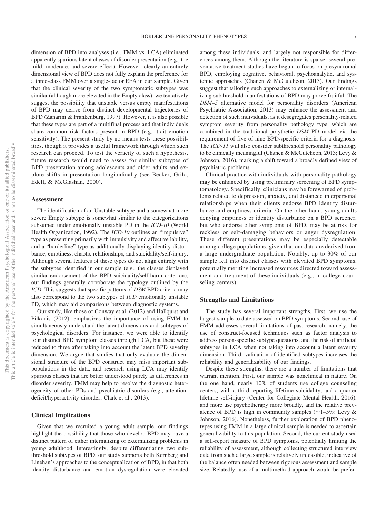dimension of BPD into analyses (i.e., FMM vs. LCA) eliminated apparently spurious latent classes of disorder presentation (e.g., the mild, moderate, and severe effect). However, clearly an entirely dimensional view of BPD does not fully explain the preference for a three-class FMM over a single-factor EFA in our sample. Given that the clinical severity of the two symptomatic subtypes was similar (although more elevated in the Empty class), we tentatively suggest the possibility that unstable versus empty manifestations of BPD may derive from distinct developmental trajectories of BPD (Zanarini & Frankenburg, 1997). However, it is also possible that these types are part of a multifinal process and that individuals share common risk factors present in BPD (e.g., trait emotion sensitivity). The present study by no means tests these possibilities, though it provides a useful framework through which such research can proceed. To test the veracity of such a hypothesis, future research would need to assess for similar subtypes of BPD presentation among adolescents and older adults and explore shifts in presentation longitudinally (see Becker, Grilo, Edell, & McGlashan, 2000).

#### **Assessment**

The identification of an Unstable subtype and a somewhat more severe Empty subtype is somewhat similar to the categorizations subsumed under emotionally unstable PD in the *ICD-10* (World Health Organization, 1992). The *ICD-10* outlines an "impulsive" type as presenting primarily with impulsivity and affective lability, and a "borderline" type as additionally displaying identity disturbance, emptiness, chaotic relationships, and suicidality/self-injury. Although several features of these types do not align entirely with the subtypes identified in our sample (e.g., the classes displayed similar endorsement of the BPD suicidality/self-harm criterion), our findings generally corroborate the typology outlined by the *ICD*. This suggests that specific patterns of *DSM* BPD criteria may also correspond to the two subtypes of *ICD* emotionally unstable PD, which may aid comparisons between diagnostic systems.

Our study, like those of Conway et al. (2012) and Hallquist and Pilkonis (2012), emphasizes the importance of using FMM to simultaneously understand the latent dimensions and subtypes of psychological disorders. For instance, we were able to identify four distinct BPD symptom classes through LCA, but these were reduced to three after taking into account the latent BPD severity dimension. We argue that studies that only evaluate the dimensional structure of the BPD construct may miss important subpopulations in the data, and research using LCA may identify spurious classes that are better understood purely as differences in disorder severity. FMM may help to resolve the diagnostic heterogeneity of other PDs and psychiatric disorders (e.g., attentiondeficit/hyperactivity disorder; [Clark et al., 2013\)](#page-8-0).

#### **Clinical Implications**

Given that we recruited a young adult sample, our findings highlight the possibility that those who develop BPD may have a distinct pattern of either internalizing or externalizing problems in young adulthood. Interestingly, despite differentiating two subthreshold subtypes of BPD, our study supports both Kernberg and Linehan's approaches to the conceptualization of BPD, in that both identity disturbance and emotion dysregulation were elevated

among these individuals, and largely not responsible for differences among them. Although the literature is sparse, several preventative treatment studies have begun to focus on presyndromal BPD, employing cognitive, behavioral, psychoanalytic, and systemic approaches (Chanen & McCutcheon, 2013). Our findings suggest that tailoring such approaches to externalizing or internalizing subthreshold manifestations of BPD may prove fruitful. The *DSM–5* alternative model for personality disorders (American Psychiatric Association, 2013) may enhance the assessment and detection of such individuals, as it desegregates personality-related symptom severity from personality pathology type, which are combined in the traditional polythetic *DSM* PD model via the requirement of five of nine BPD-specific criteria for a diagnosis. The *ICD-11* will also consider subthreshold personality pathology to be clinically meaningful (Chanen & McCutcheon, 2013; Levy & Johnson, 2016), marking a shift toward a broadly defined view of psychiatric problems.

Clinical practice with individuals with personality pathology may be enhanced by using preliminary screening of BPD symptomatology. Specifically, clinicians may be forewarned of problems related to depression, anxiety, and distanced interpersonal relationships when their clients endorse BPD identity disturbance and emptiness criteria. On the other hand, young adults denying emptiness or identity disturbance on a BPD screener, but who endorse other symptoms of BPD, may be at risk for reckless or self-damaging behaviors or anger dysregulation. These different presentations may be especially detectable among college populations, given that our data are derived from a large undergraduate population. Notably, up to 30% of our sample fell into distinct classes with elevated BPD symptoms, potentially meriting increased resources directed toward assessment and treatment of these individuals (e.g., in college counseling centers).

#### **Strengths and Limitations**

The study has several important strengths. First, we use the largest sample to date assessed on BPD symptoms. Second, use of FMM addresses several limitations of past research, namely, the use of construct-focused techniques such as factor analysis to address person-specific subtype questions, and the risk of artificial subtypes in LCA when not taking into account a latent severity dimension. Third, validation of identified subtypes increases the reliability and generalizability of our findings.

Despite these strengths, there are a number of limitations that warrant mention. First, our sample was nonclinical in nature. On the one hand, nearly 10% of students use college counseling centers, with a third reporting lifetime suicidality, and a quarter lifetime self-injury [\(Center for Collegiate Mental Health, 2016\)](#page-8-2), and more use psychotherapy more broadly, and the relative prevalence of BPD is high in community samples ( $\sim$ 1–5%; Levy & Johnson, 2016). Nonetheless, further exploration of BPD phenotypes using FMM in a large clinical sample is needed to ascertain generalizability to this population. Second, the current study used a self-report measure of BPD symptoms, potentially limiting the reliability of assessment, although collecting structured interview data from such a large sample is relatively unfeasible, indicative of the balance often needed between rigorous assessment and sample size. Relatedly, use of a multimethod approach would be prefer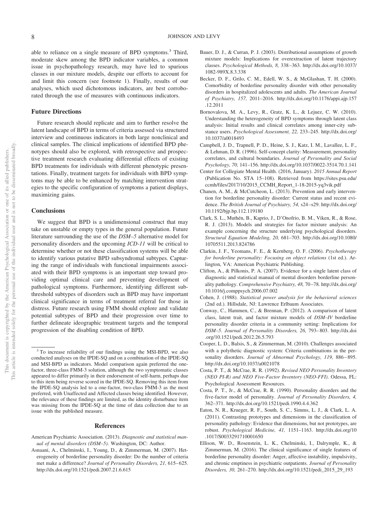able to reliance on a single measure of BPD symptoms.<sup>3</sup> Third, moderate skew among the BPD indicator variables, a common issue in psychopathology research, may have led to spurious classes in our mixture models, despite our efforts to account for and limit this concern (see footnote 1). Finally, results of our analyses, which used dichotomous indicators, are best corroborated through the use of measures with continuous indicators.

#### **Future Directions**

Future research should replicate and aim to further resolve the latent landscape of BPD in terms of criteria assessed via structured interview and continuous indicators in both large nonclinical and clinical samples. The clinical implications of identified BPD phenotypes should also be explored, with retrospective and prospective treatment research evaluating differential effects of existing BPD treatments for individuals with different phenotypic presentations. Finally, treatment targets for individuals with BPD symptoms may be able to be enhanced by matching intervention strategies to the specific configuration of symptoms a patient displays, maximizing gains.

#### **Conclusions**

We suggest that BPD is a unidimensional construct that may take on unstable or empty types in the general population. Future literature surrounding the use of the *DSM–5* alternative model for personality disorders and the upcoming *ICD-11* will be critical to determine whether or not these classification systems will be able to identify various putative BPD subsyndromal subtypes. Capturing the range of individuals with functional impairments associated with their BPD symptoms is an important step toward providing optimal clinical care and preventing development of pathological symptoms. Furthermore, identifying different subthreshold subtypes of disorders such as BPD may have important clinical significance in terms of treatment referral for those in distress. Future research using FMM should explore and validate potential subtypes of BPD and their progression over time to further delineate ideographic treatment targets and the temporal progression of the disabling condition of BPD.

#### **References**

- American Psychiatric Association. (2013). *Diagnostic and statistical manual of mental disorders (DSM–5)*. Washington, DC: Author.
- Asnaani, A., Chelminski, I., Young, D., & Zimmerman, M. (2007). Heterogeneity of borderline personality disorder: Do the number of criteria met make a difference? *Journal of Personality Disorders, 21,* 615– 625. <http://dx.doi.org/10.1521/pedi.2007.21.6.615>
- Bauer, D. J., & Curran, P. J. (2003). Distributional assumptions of growth mixture models: Implications for overextraction of latent trajectory classes. *Psychological Methods, 8,* 338 –363. [http://dx.doi.org/10.1037/](http://dx.doi.org/10.1037/1082-989X.8.3.338) [1082-989X.8.3.338](http://dx.doi.org/10.1037/1082-989X.8.3.338)
- Becker, D. F., Grilo, C. M., Edell, W. S., & McGlashan, T. H. (2000). Comorbidity of borderline personality disorder with other personality disorders in hospitalized adolescents and adults. *The American Journal of Psychiatry, 157,* 2011–2016. [http://dx.doi.org/10.1176/appi.ajp.157](http://dx.doi.org/10.1176/appi.ajp.157.12.2011) [.12.2011](http://dx.doi.org/10.1176/appi.ajp.157.12.2011)
- Bornovalova, M. A., Levy, R., Gratz, K. L., & Lejuez, C. W. (2010). Understanding the heterogeneity of BPD symptoms through latent class analysis: Initial results and clinical correlates among inner-city substance users. *Psychological Assessment, 22,* 233–245. [http://dx.doi.org/](http://dx.doi.org/10.1037/a0018493) [10.1037/a0018493](http://dx.doi.org/10.1037/a0018493)
- Campbell, J. D., Trapnell, P. D., Heine, S. J., Katz, I. M., Lavallee, L. F., & Lehman, D. R. (1996). Self-concept clarity: Measurement, personality correlates, and cultural boundaries. *Journal of Personality and Social Psychology, 70,* 141–156.<http://dx.doi.org/10.1037/0022-3514.70.1.141>
- <span id="page-8-2"></span>Center for Collegiate Mental Health. (2016, January). *2015 Annual Report* (Publication No. STA 15–108). Retrieved from [https://sites.psu.edu/](https://sites.psu.edu/ccmh/files/2017/10/2015_CCMH_Report_1-18-2015-yq3vik.pdf) [ccmh/files/2017/10/2015\\_CCMH\\_Report\\_1-18-2015-yq3vik.pdf](https://sites.psu.edu/ccmh/files/2017/10/2015_CCMH_Report_1-18-2015-yq3vik.pdf)
- Chanen, A. M., & McCutcheon, L. (2013). Prevention and early intervention for borderline personality disorder: Current status and recent evidence. *The British Journal of Psychiatry, 54,* s24 –s29. [http://dx.doi.org/](http://dx.doi.org/10.1192/bjp.bp.112.119180) [10.1192/bjp.bp.112.119180](http://dx.doi.org/10.1192/bjp.bp.112.119180)
- <span id="page-8-0"></span>Clark, S. L., Muthén, B., Kaprio, J., D'Onofrio, B. M., Viken, R., & Rose, R. J. (2013). Models and strategies for factor mixture analysis: An example concerning the structure underlying psychological disorders. *Structural Equation Modeling, 20,* 681–703. [http://dx.doi.org/10.1080/](http://dx.doi.org/10.1080/10705511.2013.824786) [10705511.2013.824786](http://dx.doi.org/10.1080/10705511.2013.824786)
- Clarkin, J. F., Yeomans, F. E., & Kernberg, O. F. (2006). *Psychotherapy for borderline personality: Focusing on object relations* (1st ed.). Arlington, VA: American Psychiatric Publishing.
- Clifton, A., & Pilkonis, P. A. (2007). Evidence for a single latent class of diagnostic and statistical manual of mental disorders borderline personality pathology. *Comprehensive Psychiatry, 48,* 70 –78. [http://dx.doi.org/](http://dx.doi.org/10.1016/j.comppsych.2006.07.002) [10.1016/j.comppsych.2006.07.002](http://dx.doi.org/10.1016/j.comppsych.2006.07.002)
- <span id="page-8-1"></span>Cohen, J. (1988). *Statistical power analysis for the behavioral sciences* (2nd ed.). Hillsdale, NJ: Lawrence Erlbaum Associates.
- Conway, C., Hammen, C., & Brennan, P. (2012). A comparison of latent class, latent trait, and factor mixture models of *DSM–IV* borderline personality disorder criteria in a community setting: Implications for *DSM–5*. *Journal of Personality Disorders, 26,* 793– 803. [http://dx.doi](http://dx.doi.org/10.1521/pedi.2012.26.5.793) [.org/10.1521/pedi.2012.26.5.793](http://dx.doi.org/10.1521/pedi.2012.26.5.793)
- Cooper, L. D., Balsis, S., & Zimmerman, M. (2010). Challenges associated with a polythetic diagnostic system: Criteria combinations in the personality disorders. *Journal of Abnormal Psychology, 119, 886*-895. <http://dx.doi.org/10.1037/a0021078>
- Costa, P. T., & McCrae, R. R. (1992). *Revised NEO Personality Inventory (NEO PI-R) and NEO Five-Factor Inventory (NEO-FFI)*. Odessa, FL: Psychological Assessment Resources.
- Costa, P. T., Jr., & McCrae, R. R. (1990). Personality disorders and the five-factor model of personality. *Journal of Personality Disorders, 4,* 362–371.<http://dx.doi.org/10.1521/pedi.1990.4.4.362>
- Eaton, N. R., Krueger, R. F., South, S. C., Simms, L. J., & Clark, L. A. (2011). Contrasting prototypes and dimensions in the classification of personality pathology: Evidence that dimensions, but not prototypes, are robust. *Psychological Medicine, 41,* 1151–1163. [http://dx.doi.org/10](http://dx.doi.org/10.1017/S0033291710001650) [.1017/S0033291710001650](http://dx.doi.org/10.1017/S0033291710001650)
- Ellison, W. D., Rosenstein, L. K., Chelminski, I., Dalrymple, K., & Zimmerman, M. (2016). The clinical significance of single features of borderline personality disorder: Anger, affective instability, impulsivity, and chronic emptiness in psychiatric outpatients. *Journal of Personality Disorders, 30,* 261–270. [http://dx.doi.org/10.1521/pedi\\_2015\\_29\\_193](http://dx.doi.org/10.1521/pedi_2015_29_193)

<sup>3</sup> To increase reliability of our findings using the MSI-BPD, we also conducted analyses on the IPDE-SQ and on a combination of the IPDE-SQ and MSI-BPD as indicators. Model comparison again preferred the onefactor, three-class FMM-3 solution, although the two symptomatic classes appeared to differ primarily in their endorsement of self-harm, perhaps due to this item being reverse scored in the IPDE-SQ. Removing this item from the IPDE-SQ analysis led to a one-factor, two-class FMM-3 as the most preferred, with Unaffected and Affected classes being identified. However, the relevance of these findings are limited, as the identity disturbance item was missing from the IPDE-SQ at the time of data collection due to an issue with the published measure.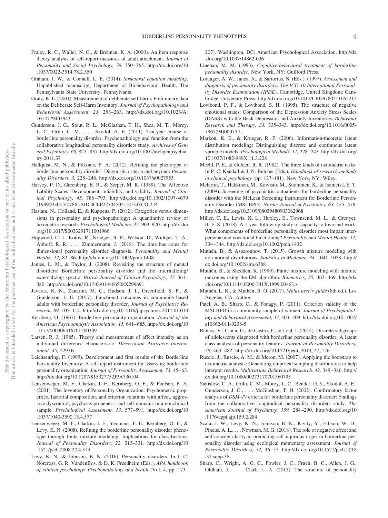- Fraley, R. C., Waller, N. G., & Brennan, K. A. (2000). An item response theory analysis of self-report measures of adult attachment. *Journal of Personality and Social Psychology, 78,* 350 –365. [http://dx.doi.org/10](http://dx.doi.org/10.1037/0022-3514.78.2.350) [.1037/0022-3514.78.2.350](http://dx.doi.org/10.1037/0022-3514.78.2.350)
- Graham, J. W., & Connell, L. E. (2014). *Structural equation modeling*. Unpublished manuscript, Department of Biobehavioral Health, The Pennsylvania State University, Pennsylvania.
- Gratz, K. L. (2001). Measurement of deliberate self-harm: Preliminary data on the Deliberate Self-Harm Inventory. *Journal of Psychopathology and Behavioral Assessment, 23,* 253–263. [http://dx.doi.org/10.1023/A:](http://dx.doi.org/10.1023/A:1012779403943) [1012779403943](http://dx.doi.org/10.1023/A:1012779403943)
- Gunderson, J. G., Stout, R. L., McGlashan, T. H., Shea, M. T., Morey, L. C., Grilo, C. M.,... Skodol, A. E. (2011). Ten-year course of borderline personality disorder: Psychopathology and function from the collaborative longitudinal personality disorders study. *Archives of General Psychiatry, 68,* 827– 837. [http://dx.doi.org/10.1001/archgenpsychia](http://dx.doi.org/10.1001/archgenpsychiatry.2011.37)[try.2011.37](http://dx.doi.org/10.1001/archgenpsychiatry.2011.37)
- Hallquist, M. N., & Pilkonis, P. A. (2012). Refining the phenotype of borderline personality disorder: Diagnostic criteria and beyond. *Personality Disorders, 3,* 228 –246.<http://dx.doi.org/10.1037/a0027953>
- Harvey, P. D., Greenberg, B. R., & Serper, M. R. (1989). The Affective Lability Scales: Development, reliability, and validity. *Journal of Clinical Psychology, 45,* 786 –793. [http://dx.doi.org/10.1002/1097-4679](http://dx.doi.org/10.1002/1097-4679%28198909%2945:5%3C786::AID-JCLP2270450515%3E3.0.CO;2-P) (198909)45:5<[786::AID-JCLP2270450515](http://dx.doi.org/10.1002/1097-4679%28198909%2945:5%3C786::AID-JCLP2270450515%3E3.0.CO;2-P)>3.0.CO;2-P
- Haslam, N., Holland, E., & Kuppens, P. (2012). Categories versus dimensions in personality and psychopathology: A quantitative review of taxometric research. *Psychological Medicine, 42,* 903–920. [http://dx.doi](http://dx.doi.org/10.1017/S0033291711001966) [.org/10.1017/S0033291711001966](http://dx.doi.org/10.1017/S0033291711001966)
- Hopwood, C. J., Kotov, R., Krueger, R. F., Watson, D., Widiger, T. A., Althoff, R. R.,... Zimmermann, J. (2018). The time has come for dimensional personality disorder diagnosis. *Personality and Mental Health, 12,* 82– 86.<http://dx.doi.org/10.1002/pmh.1408>
- James, L. M., & Taylor, J. (2008). Revisiting the structure of mental disorders: Borderline personality disorder and the internalizing/ externalizing spectra. *British Journal of Clinical Psychology, 47,* 361– 380.<http://dx.doi.org/10.1348/014466508X299691>
- Javaras, K. N., Zanarini, M. C., Hudson, J. I., Greenfield, S. F., & Gunderson, J. G. (2017). Functional outcomes in community-based adults with borderline personality disorder. *Journal of Psychiatric Research, 89,* 105–114.<http://dx.doi.org/10.1016/j.jpsychires.2017.01.010>
- Kernberg, O. (1967). Borderline personality organization. *Journal of the American Psychoanalytic Association, 15,* 641– 685. [http://dx.doi.org/10](http://dx.doi.org/10.1177/000306516701500309) [.1177/000306516701500309](http://dx.doi.org/10.1177/000306516701500309)
- Larsen, R. J. (1985). Theory and measurement of affect intensity as an individual difference characteristic. *Dissertation Abstracts International, 45,* 2297B.
- Leichsenring, F. (1999). Development and first results of the Borderline Personality Inventory: A self-report instrument for assessing borderline personality organization. *Journal of Personality Assessment, 73, 45*-63. <http://dx.doi.org/10.1207/S15327752JPA730104>
- Lenzenweger, M. F., Clarkin, J. F., Kernberg, O. F., & Foelsch, P. A. (2001). The Inventory of Personality Organization: Psychometric properties, factorial composition, and criterion relations with affect, aggressive dyscontrol, psychosis proneness, and self-domains in a nonclinical sample. *Psychological Assessment, 13,* 577–591. [http://dx.doi.org/10](http://dx.doi.org/10.1037/1040-3590.13.4.577) [.1037/1040-3590.13.4.577](http://dx.doi.org/10.1037/1040-3590.13.4.577)
- Lenzenweger, M. F., Clarkin, J. F., Yeomans, F. E., Kernberg, O. F., & Levy, K. N. (2008). Refining the borderline personality disorder phenotype through finite mixture modeling: Implications for classification. *Journal of Personality Disorders, 22,* 313–331. [http://dx.doi.org/10](http://dx.doi.org/10.1521/pedi.2008.22.4.313) [.1521/pedi.2008.22.4.313](http://dx.doi.org/10.1521/pedi.2008.22.4.313)
- Levy, K. N., & Johnson, B. N. (2016). Personality disorders. In J. C. Norcross, G. R. VandenBos, & D. K. Freedheim (Eds.), *APA handbook of clinical psychology: Psychopathology and health* (Vol. 4, pp. 173–

207). Washington, DC: American Psychological Association. [http://dx](http://dx.doi.org/10.1037/14862-006) [.doi.org/10.1037/14862-006](http://dx.doi.org/10.1037/14862-006)

- Linehan, M. M. (1993). *Cognitive-behavioral treatment of borderline personality disorder*. New York, NY: Guilford Press.
- Loranger, A. W., Janca, A., & Sartorius, N. (Eds.). (1997). *Assessment and diagnosis of personality disorders: The ICD-10 International Personality Disorder Examination (IPDE*). Cambridge, United Kingdom: Cambridge University Press.<http://dx.doi.org/10.1017/CBO9780511663215>
- Lovibond, P. F., & Lovibond, S. H. (1995). The structure of negative emotional states: Comparison of the Depression Anxiety Stress Scales (DASS) with the Beck Depression and Anxiety Inventories. *Behaviour Research and Therapy, 33,* 335–343. [http://dx.doi.org/10.1016/0005-](http://dx.doi.org/10.1016/0005-7967%2894%2900075-U) [7967\(94\)00075-U](http://dx.doi.org/10.1016/0005-7967%2894%2900075-U)
- Markon, K. E., & Krueger, R. F. (2006). Information-theoretic latent distribution modeling: Distinguishing discrete and continuous latent variable models. *Psychological Methods, 11,* 228 –243. [http://dx.doi.org/](http://dx.doi.org/10.1037/1082-989X.11.3.228) [10.1037/1082-989X.11.3.228](http://dx.doi.org/10.1037/1082-989X.11.3.228)
- Meehl, P. E., & Golden, R. R. (1982). The three kinds of taxometric tasks. In P. C. Kendall & J. N. Butcher (Eds.), *Handbook of research methods in clinical psychology* (pp. 127–181). New York, NY: Wiley.
- Melartin, T., Häkkinen, M., Koivisto, M., Suominen, K., & Isometsä, E. T. (2009). Screening of psychiatric outpatients for borderline personality disorder with the McLean Screening Instrument for Borderline Personality Disorder (MSI-BPD). *Nordic Journal of Psychiatry, 63, 475-479*. <http://dx.doi.org/10.3109/08039480903062968>
- Miller, C. E., Lewis, K. L., Huxley, E., Townsend, M. L., & Grenyer, B. F. S. (2018). A 1-year follow-up study of capacity to love and work: What components of borderline personality disorder most impair interpersonal and vocational functioning? *Personality and Mental Health, 12,* 334 –344.<http://dx.doi.org/10.1002/pmh.1432>
- Muthén, B., & Asparouhov, T. (2015). Growth mixture modeling with non-normal distributions. *Statistics in Medicine, 34,* 1041–1058. [http://](http://dx.doi.org/10.1002/sim.6388) [dx.doi.org/10.1002/sim.6388](http://dx.doi.org/10.1002/sim.6388)
- Muthén, B., & Shedden, K. (1999). Finite mixture modeling with mixture outcomes using the EM algorithm. *Biometrics, 55,* 463– 469. [http://dx](http://dx.doi.org/10.1111/j.0006-341X.1999.00463.x) [.doi.org/10.1111/j.0006-341X.1999.00463.x](http://dx.doi.org/10.1111/j.0006-341X.1999.00463.x)
- Muthén, L. K., & Muthén, B. O. (2017). *Mplus user's guide* (8th ed.). Los Angeles, CA: Author.
- Patel, A. B., Sharp, C., & Fonagy, P. (2011). Criterion validity of the MSI-BPD in a community sample of women. *Journal of Psychopathology and Behavioral Assessment, 33,* 403– 408. [http://dx.doi.org/10.1007/](http://dx.doi.org/10.1007/s10862-011-9238-5) [s10862-011-9238-5](http://dx.doi.org/10.1007/s10862-011-9238-5)
- Ramos, V., Canta, G., de Castro, F., & Leal, I. (2014). Discrete subgroups of adolescents diagnosed with borderline personality disorder: A latent class analysis of personality features. *Journal of Personality Disorders, 28,* 463– 482. [http://dx.doi.org/10.1521/pedi\\_2013\\_27\\_126](http://dx.doi.org/10.1521/pedi_2013_27_126)
- Ruscio, J., Ruscio, A. M., & Meron, M. (2007). Applying the bootstrap to taxometric analysis: Generating empirical sampling distributions to help interpret results. *Multivariate Behavioral Research, 42,* 349 –386. [http://](http://dx.doi.org/10.1080/00273170701360795) [dx.doi.org/10.1080/00273170701360795](http://dx.doi.org/10.1080/00273170701360795)
- Sanislow, C. A., Grilo, C. M., Morey, L. C., Bender, D. S., Skodol, A. E., Gunderson, J. G.,... McGlashan, T. H. (2002). Confirmatory factor analysis of *DSM–IV* criteria for borderline personality disorder: Findings from the collaborative longitudinal personality disorders study. *The American Journal of Psychiatry, 159,* 284 –290. [http://dx.doi.org/10](http://dx.doi.org/10.1176/appi.ajp.159.2.284) [.1176/appi.ajp.159.2.284](http://dx.doi.org/10.1176/appi.ajp.159.2.284)
- Scala, J. W., Levy, K. N., Johnson, B. N., Kivity, Y., Ellison, W. D., Pincus, A. L.,... Newman, M. G. (2018). The role of negative affect and self-concept clarity in predicting self-injurious urges in borderline personality disorder using ecological momentary assessment. *Journal of Personality Disorders, 32,* 36 –57. [http://dx.doi.org/10.1521/pedi.2018](http://dx.doi.org/10.1521/pedi.2018.32.supp.36) [.32.supp.36](http://dx.doi.org/10.1521/pedi.2018.32.supp.36)
- Sharp, C., Wright, A. G. C., Fowler, J. C., Frueh, B. C., Allen, J. G., Oldham, J.,... Clark, L. A. (2015). The structure of personality